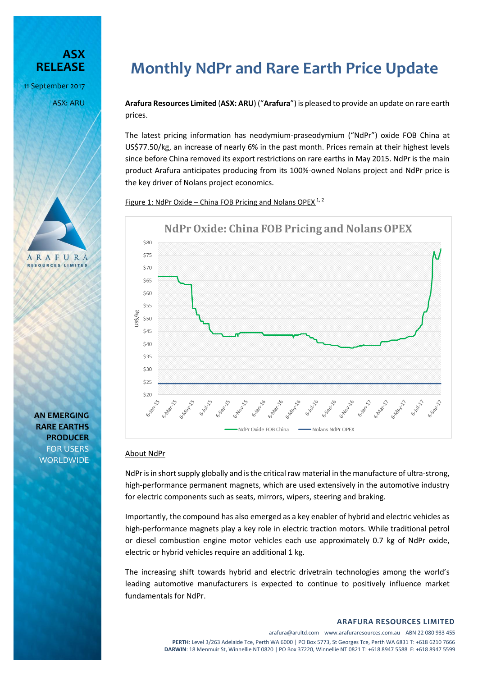**ASX RELEASE** 11 September 2017

ASX: ARU



**AN EMERGING RARE EARTHS PRODUCER** FOR USERS **WORLDWIDE** 

# **Monthly NdPr and Rare Earth Price Update**

**Arafura Resources Limited** (**ASX: ARU**) ("**Arafura**") is pleased to provide an update on rare earth prices.

The latest pricing information has neodymium-praseodymium ("NdPr") oxide FOB China at US\$77.50/kg, an increase of nearly 6% in the past month. Prices remain at their highest levels since before China removed its export restrictions on rare earths in May 2015. NdPr is the main product Arafura anticipates producing from its 100%-owned Nolans project and NdPr price is the key driver of Nolans project economics.

Figure 1: NdPr Oxide – China FOB Pricing and Nolans OPEX  $1, 2$ 



## About NdPr

NdPr is in short supply globally and isthe critical raw material in the manufacture of ultra-strong, high-performance permanent magnets, which are used extensively in the automotive industry for electric components such as seats, mirrors, wipers, steering and braking.

Importantly, the compound has also emerged as a key enabler of hybrid and electric vehicles as high-performance magnets play a key role in electric traction motors. While traditional petrol or diesel combustion engine motor vehicles each use approximately 0.7 kg of NdPr oxide, electric or hybrid vehicles require an additional 1 kg.

The increasing shift towards hybrid and electric drivetrain technologies among the world's leading automotive manufacturers is expected to continue to positively influence market fundamentals for NdPr.

**ARAFURA RESOURCES LIMITED**